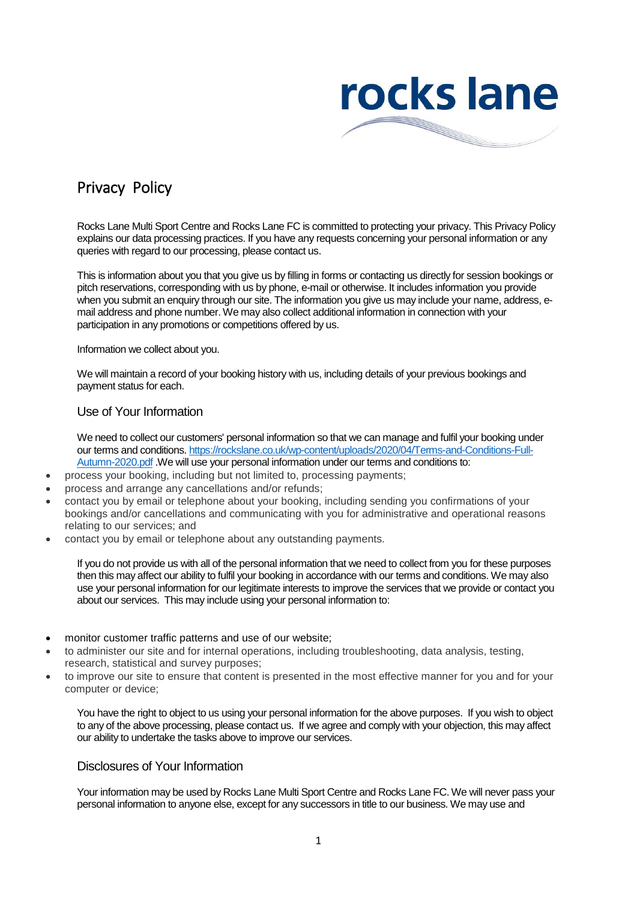

# Privacy Policy

Rocks Lane Multi Sport Centre and Rocks Lane FC is committed to protecting your privacy. This Privacy Policy explains our data processing practices. If you have any requests concerning your personal information or any queries with regard to our processing, please contact us.

This is information about you that you give us by filling in forms or contacting us directly for session bookings or pitch reservations, corresponding with us by phone, e-mail or otherwise. It includes information you provide when you submit an enquiry through our site. The information you give us may include your name, address, email address and phone number. We may also collect additional information in connection with your participation in any promotions or competitions offered by us.

Information we collect about you.

We will maintain a record of your booking history with us, including details of your previous bookings and payment status for each.

### Use of Your Information

We need to collect our customers' personal information so that we can manage and fulfil your booking under our terms and conditions. https://rockslane.co.uk/wp-content/uploads/2020/04/Terms-and-Conditions-Full-Autumn-2020.pdf .We will use your personal information under our terms and conditions to:

- process your booking, including but not limited to, processing payments;
- process and arrange any cancellations and/or refunds;
- contact you by email or telephone about your booking, including sending you confirmations of your bookings and/or cancellations and communicating with you for administrative and operational reasons relating to our services; and
- contact you by email or telephone about any outstanding payments.

If you do not provide us with all of the personal information that we need to collect from you for these purposes then this may affect our ability to fulfil your booking in accordance with our terms and conditions. We may also use your personal information for our legitimate interests to improve the services that we provide or contact you about our services. This may include using your personal information to:

- monitor customer traffic patterns and use of our website;
- to administer our site and for internal operations, including troubleshooting, data analysis, testing, research, statistical and survey purposes;
- to improve our site to ensure that content is presented in the most effective manner for you and for your computer or device;

You have the right to object to us using your personal information for the above purposes. If you wish to object to any of the above processing, please contact us. If we agree and comply with your objection, this may affect our ability to undertake the tasks above to improve our services.

### Disclosures of Your Information

Your information may be used by Rocks Lane Multi Sport Centre and Rocks Lane FC. We will never pass your personal information to anyone else, except for any successors in title to our business. We may use and